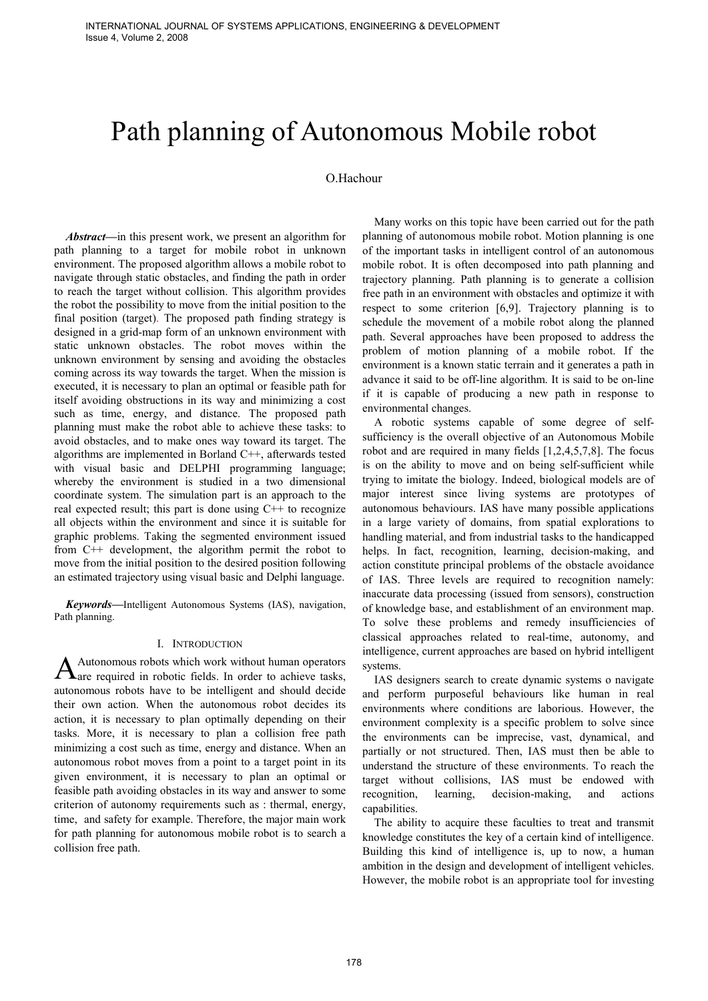# Path planning of Autonomous Mobile robot

### O.Hachour

*Abstract***—**in this present work, we present an algorithm for path planning to a target for mobile robot in unknown environment. The proposed algorithm allows a mobile robot to navigate through static obstacles, and finding the path in order to reach the target without collision. This algorithm provides the robot the possibility to move from the initial position to the final position (target). The proposed path finding strategy is designed in a grid-map form of an unknown environment with static unknown obstacles. The robot moves within the unknown environment by sensing and avoiding the obstacles coming across its way towards the target. When the mission is executed, it is necessary to plan an optimal or feasible path for itself avoiding obstructions in its way and minimizing a cost such as time, energy, and distance. The proposed path planning must make the robot able to achieve these tasks: to avoid obstacles, and to make ones way toward its target. The algorithms are implemented in Borland C++, afterwards tested with visual basic and DELPHI programming language; whereby the environment is studied in a two dimensional coordinate system. The simulation part is an approach to the real expected result; this part is done using  $C++$  to recognize all objects within the environment and since it is suitable for graphic problems. Taking the segmented environment issued from C++ development, the algorithm permit the robot to move from the initial position to the desired position following an estimated trajectory using visual basic and Delphi language.

*Keywords***—**Intelligent Autonomous Systems (IAS), navigation, Path planning.

#### I. INTRODUCTION

Autonomous robots which work without human operators  $A$ utonomous robots which work without human operators are required in robotic fields. In order to achieve tasks, autonomous robots have to be intelligent and should decide their own action. When the autonomous robot decides its action, it is necessary to plan optimally depending on their tasks. More, it is necessary to plan a collision free path minimizing a cost such as time, energy and distance. When an autonomous robot moves from a point to a target point in its given environment, it is necessary to plan an optimal or feasible path avoiding obstacles in its way and answer to some criterion of autonomy requirements such as : thermal, energy, time, and safety for example. Therefore, the major main work for path planning for autonomous mobile robot is to search a collision free path.

Many works on this topic have been carried out for the path planning of autonomous mobile robot. Motion planning is one of the important tasks in intelligent control of an autonomous mobile robot. It is often decomposed into path planning and trajectory planning. Path planning is to generate a collision free path in an environment with obstacles and optimize it with respect to some criterion [6,9]. Trajectory planning is to schedule the movement of a mobile robot along the planned path. Several approaches have been proposed to address the problem of motion planning of a mobile robot. If the environment is a known static terrain and it generates a path in advance it said to be off-line algorithm. It is said to be on-line if it is capable of producing a new path in response to environmental changes.

A robotic systems capable of some degree of selfsufficiency is the overall objective of an Autonomous Mobile robot and are required in many fields [1,2,4,5,7,8]. The focus is on the ability to move and on being self-sufficient while trying to imitate the biology. Indeed, biological models are of major interest since living systems are prototypes of autonomous behaviours. IAS have many possible applications in a large variety of domains, from spatial explorations to handling material, and from industrial tasks to the handicapped helps. In fact, recognition, learning, decision-making, and action constitute principal problems of the obstacle avoidance of IAS. Three levels are required to recognition namely: inaccurate data processing (issued from sensors), construction of knowledge base, and establishment of an environment map. To solve these problems and remedy insufficiencies of classical approaches related to real-time, autonomy, and intelligence, current approaches are based on hybrid intelligent systems.

IAS designers search to create dynamic systems o navigate and perform purposeful behaviours like human in real environments where conditions are laborious. However, the environment complexity is a specific problem to solve since the environments can be imprecise, vast, dynamical, and partially or not structured. Then, IAS must then be able to understand the structure of these environments. To reach the target without collisions, IAS must be endowed with recognition, learning, decision-making, and actions capabilities.

The ability to acquire these faculties to treat and transmit knowledge constitutes the key of a certain kind of intelligence. Building this kind of intelligence is, up to now, a human ambition in the design and development of intelligent vehicles. However, the mobile robot is an appropriate tool for investing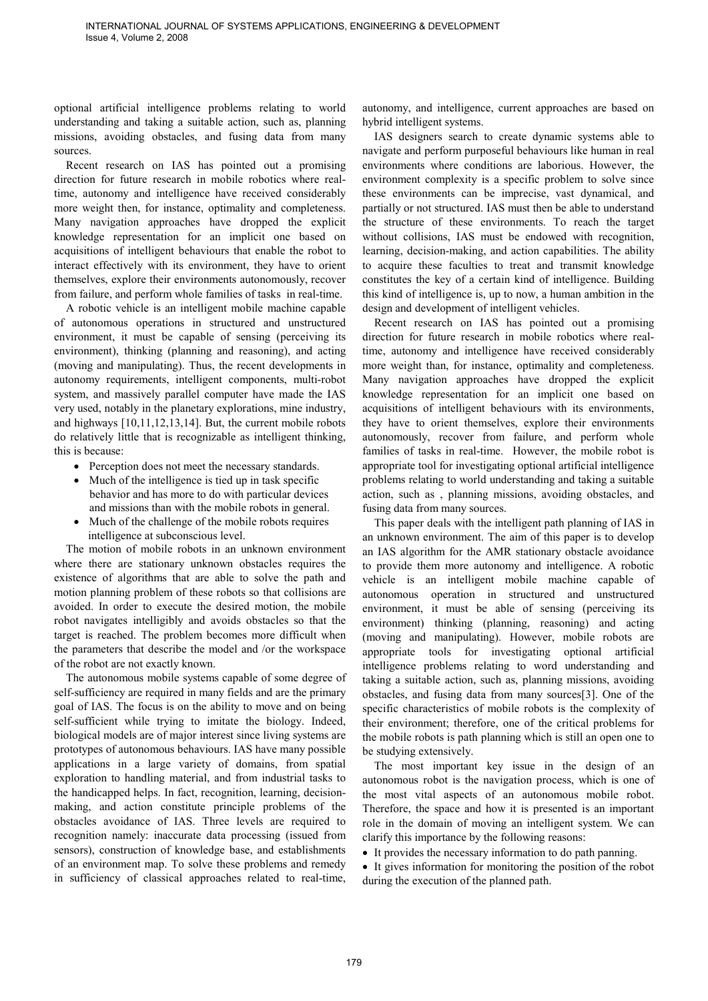optional artificial intelligence problems relating to world understanding and taking a suitable action, such as, planning missions, avoiding obstacles, and fusing data from many sources.

Recent research on IAS has pointed out a promising direction for future research in mobile robotics where realtime, autonomy and intelligence have received considerably more weight then, for instance, optimality and completeness. Many navigation approaches have dropped the explicit knowledge representation for an implicit one based on acquisitions of intelligent behaviours that enable the robot to interact effectively with its environment, they have to orient themselves, explore their environments autonomously, recover from failure, and perform whole families of tasks in real-time.

A robotic vehicle is an intelligent mobile machine capable of autonomous operations in structured and unstructured environment, it must be capable of sensing (perceiving its environment), thinking (planning and reasoning), and acting (moving and manipulating). Thus, the recent developments in autonomy requirements, intelligent components, multi-robot system, and massively parallel computer have made the IAS very used, notably in the planetary explorations, mine industry, and highways [10,11,12,13,14]. But, the current mobile robots do relatively little that is recognizable as intelligent thinking, this is because:

- Perception does not meet the necessary standards.
- Much of the intelligence is tied up in task specific behavior and has more to do with particular devices and missions than with the mobile robots in general.
- Much of the challenge of the mobile robots requires intelligence at subconscious level.

The motion of mobile robots in an unknown environment where there are stationary unknown obstacles requires the existence of algorithms that are able to solve the path and motion planning problem of these robots so that collisions are avoided. In order to execute the desired motion, the mobile robot navigates intelligibly and avoids obstacles so that the target is reached. The problem becomes more difficult when the parameters that describe the model and /or the workspace of the robot are not exactly known.

The autonomous mobile systems capable of some degree of self-sufficiency are required in many fields and are the primary goal of IAS. The focus is on the ability to move and on being self-sufficient while trying to imitate the biology. Indeed, biological models are of major interest since living systems are prototypes of autonomous behaviours. IAS have many possible applications in a large variety of domains, from spatial exploration to handling material, and from industrial tasks to the handicapped helps. In fact, recognition, learning, decisionmaking, and action constitute principle problems of the obstacles avoidance of IAS. Three levels are required to recognition namely: inaccurate data processing (issued from sensors), construction of knowledge base, and establishments of an environment map. To solve these problems and remedy in sufficiency of classical approaches related to real-time,

autonomy, and intelligence, current approaches are based on hybrid intelligent systems.

IAS designers search to create dynamic systems able to navigate and perform purposeful behaviours like human in real environments where conditions are laborious. However, the environment complexity is a specific problem to solve since these environments can be imprecise, vast dynamical, and partially or not structured. IAS must then be able to understand the structure of these environments. To reach the target without collisions, IAS must be endowed with recognition, learning, decision-making, and action capabilities. The ability to acquire these faculties to treat and transmit knowledge constitutes the key of a certain kind of intelligence. Building this kind of intelligence is, up to now, a human ambition in the design and development of intelligent vehicles.

Recent research on IAS has pointed out a promising direction for future research in mobile robotics where realtime, autonomy and intelligence have received considerably more weight than, for instance, optimality and completeness. Many navigation approaches have dropped the explicit knowledge representation for an implicit one based on acquisitions of intelligent behaviours with its environments, they have to orient themselves, explore their environments autonomously, recover from failure, and perform whole families of tasks in real-time. However, the mobile robot is appropriate tool for investigating optional artificial intelligence problems relating to world understanding and taking a suitable action, such as , planning missions, avoiding obstacles, and fusing data from many sources.

This paper deals with the intelligent path planning of IAS in an unknown environment. The aim of this paper is to develop an IAS algorithm for the AMR stationary obstacle avoidance to provide them more autonomy and intelligence. A robotic vehicle is an intelligent mobile machine capable of autonomous operation in structured and unstructured environment, it must be able of sensing (perceiving its environment) thinking (planning, reasoning) and acting (moving and manipulating). However, mobile robots are appropriate tools for investigating optional artificial intelligence problems relating to word understanding and taking a suitable action, such as, planning missions, avoiding obstacles, and fusing data from many sources[3]. One of the specific characteristics of mobile robots is the complexity of their environment; therefore, one of the critical problems for the mobile robots is path planning which is still an open one to be studying extensively.

The most important key issue in the design of an autonomous robot is the navigation process, which is one of the most vital aspects of an autonomous mobile robot. Therefore, the space and how it is presented is an important role in the domain of moving an intelligent system. We can clarify this importance by the following reasons:

• It provides the necessary information to do path panning.

• It gives information for monitoring the position of the robot during the execution of the planned path.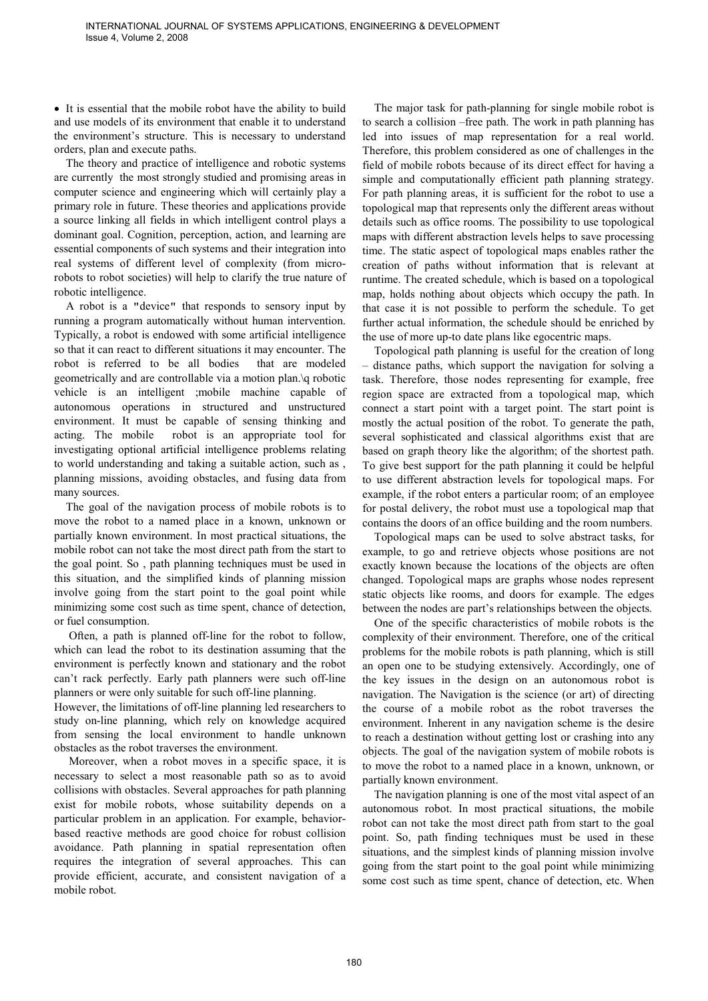• It is essential that the mobile robot have the ability to build and use models of its environment that enable it to understand the environment's structure. This is necessary to understand orders, plan and execute paths.

The theory and practice of intelligence and robotic systems are currently the most strongly studied and promising areas in computer science and engineering which will certainly play a primary role in future. These theories and applications provide a source linking all fields in which intelligent control plays a dominant goal. Cognition, perception, action, and learning are essential components of such systems and their integration into real systems of different level of complexity (from microrobots to robot societies) will help to clarify the true nature of robotic intelligence.

A robot is a "device" that responds to sensory input by running a program automatically without human intervention. Typically, a robot is endowed with some artificial intelligence so that it can react to different situations it may encounter. The robot is referred to be all bodies that are modeled geometrically and are controllable via a motion plan.\q robotic vehicle is an intelligent ;mobile machine capable of autonomous operations in structured and unstructured environment. It must be capable of sensing thinking and acting. The mobile robot is an appropriate tool for investigating optional artificial intelligence problems relating to world understanding and taking a suitable action, such as , planning missions, avoiding obstacles, and fusing data from many sources.

The goal of the navigation process of mobile robots is to move the robot to a named place in a known, unknown or partially known environment. In most practical situations, the mobile robot can not take the most direct path from the start to the goal point. So , path planning techniques must be used in this situation, and the simplified kinds of planning mission involve going from the start point to the goal point while minimizing some cost such as time spent, chance of detection, or fuel consumption.

 Often, a path is planned off-line for the robot to follow, which can lead the robot to its destination assuming that the environment is perfectly known and stationary and the robot can't rack perfectly. Early path planners were such off-line planners or were only suitable for such off-line planning.

However, the limitations of off-line planning led researchers to study on-line planning, which rely on knowledge acquired from sensing the local environment to handle unknown obstacles as the robot traverses the environment.

 Moreover, when a robot moves in a specific space, it is necessary to select a most reasonable path so as to avoid collisions with obstacles. Several approaches for path planning exist for mobile robots, whose suitability depends on a particular problem in an application. For example, behaviorbased reactive methods are good choice for robust collision avoidance. Path planning in spatial representation often requires the integration of several approaches. This can provide efficient, accurate, and consistent navigation of a mobile robot.

The major task for path-planning for single mobile robot is to search a collision –free path. The work in path planning has led into issues of map representation for a real world. Therefore, this problem considered as one of challenges in the field of mobile robots because of its direct effect for having a simple and computationally efficient path planning strategy. For path planning areas, it is sufficient for the robot to use a topological map that represents only the different areas without details such as office rooms. The possibility to use topological maps with different abstraction levels helps to save processing time. The static aspect of topological maps enables rather the creation of paths without information that is relevant at runtime. The created schedule, which is based on a topological map, holds nothing about objects which occupy the path. In that case it is not possible to perform the schedule. To get further actual information, the schedule should be enriched by the use of more up-to date plans like egocentric maps.

Topological path planning is useful for the creation of long – distance paths, which support the navigation for solving a task. Therefore, those nodes representing for example, free region space are extracted from a topological map, which connect a start point with a target point. The start point is mostly the actual position of the robot. To generate the path, several sophisticated and classical algorithms exist that are based on graph theory like the algorithm; of the shortest path. To give best support for the path planning it could be helpful to use different abstraction levels for topological maps. For example, if the robot enters a particular room; of an employee for postal delivery, the robot must use a topological map that contains the doors of an office building and the room numbers.

Topological maps can be used to solve abstract tasks, for example, to go and retrieve objects whose positions are not exactly known because the locations of the objects are often changed. Topological maps are graphs whose nodes represent static objects like rooms, and doors for example. The edges between the nodes are part's relationships between the objects.

One of the specific characteristics of mobile robots is the complexity of their environment. Therefore, one of the critical problems for the mobile robots is path planning, which is still an open one to be studying extensively. Accordingly, one of the key issues in the design on an autonomous robot is navigation. The Navigation is the science (or art) of directing the course of a mobile robot as the robot traverses the environment. Inherent in any navigation scheme is the desire to reach a destination without getting lost or crashing into any objects. The goal of the navigation system of mobile robots is to move the robot to a named place in a known, unknown, or partially known environment.

The navigation planning is one of the most vital aspect of an autonomous robot. In most practical situations, the mobile robot can not take the most direct path from start to the goal point. So, path finding techniques must be used in these situations, and the simplest kinds of planning mission involve going from the start point to the goal point while minimizing some cost such as time spent, chance of detection, etc. When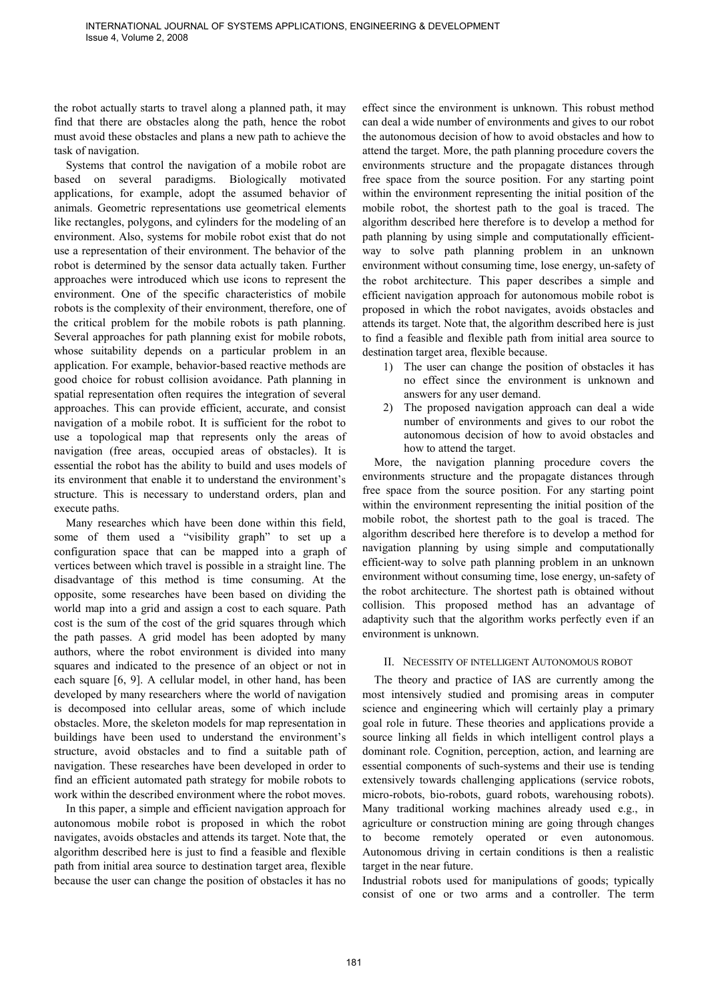the robot actually starts to travel along a planned path, it may find that there are obstacles along the path, hence the robot must avoid these obstacles and plans a new path to achieve the task of navigation.

Systems that control the navigation of a mobile robot are based on several paradigms. Biologically motivated applications, for example, adopt the assumed behavior of animals. Geometric representations use geometrical elements like rectangles, polygons, and cylinders for the modeling of an environment. Also, systems for mobile robot exist that do not use a representation of their environment. The behavior of the robot is determined by the sensor data actually taken. Further approaches were introduced which use icons to represent the environment. One of the specific characteristics of mobile robots is the complexity of their environment, therefore, one of the critical problem for the mobile robots is path planning. Several approaches for path planning exist for mobile robots, whose suitability depends on a particular problem in an application. For example, behavior-based reactive methods are good choice for robust collision avoidance. Path planning in spatial representation often requires the integration of several approaches. This can provide efficient, accurate, and consist navigation of a mobile robot. It is sufficient for the robot to use a topological map that represents only the areas of navigation (free areas, occupied areas of obstacles). It is essential the robot has the ability to build and uses models of its environment that enable it to understand the environment's structure. This is necessary to understand orders, plan and execute paths.

Many researches which have been done within this field, some of them used a "visibility graph" to set up a configuration space that can be mapped into a graph of vertices between which travel is possible in a straight line. The disadvantage of this method is time consuming. At the opposite, some researches have been based on dividing the world map into a grid and assign a cost to each square. Path cost is the sum of the cost of the grid squares through which the path passes. A grid model has been adopted by many authors, where the robot environment is divided into many squares and indicated to the presence of an object or not in each square [6, 9]. A cellular model, in other hand, has been developed by many researchers where the world of navigation is decomposed into cellular areas, some of which include obstacles. More, the skeleton models for map representation in buildings have been used to understand the environment's structure, avoid obstacles and to find a suitable path of navigation. These researches have been developed in order to find an efficient automated path strategy for mobile robots to work within the described environment where the robot moves.

In this paper, a simple and efficient navigation approach for autonomous mobile robot is proposed in which the robot navigates, avoids obstacles and attends its target. Note that, the algorithm described here is just to find a feasible and flexible path from initial area source to destination target area, flexible because the user can change the position of obstacles it has no effect since the environment is unknown. This robust method can deal a wide number of environments and gives to our robot the autonomous decision of how to avoid obstacles and how to attend the target. More, the path planning procedure covers the environments structure and the propagate distances through free space from the source position. For any starting point within the environment representing the initial position of the mobile robot, the shortest path to the goal is traced. The algorithm described here therefore is to develop a method for path planning by using simple and computationally efficientway to solve path planning problem in an unknown environment without consuming time, lose energy, un-safety of the robot architecture. This paper describes a simple and efficient navigation approach for autonomous mobile robot is proposed in which the robot navigates, avoids obstacles and attends its target. Note that, the algorithm described here is just to find a feasible and flexible path from initial area source to destination target area, flexible because.

- 1) The user can change the position of obstacles it has no effect since the environment is unknown and answers for any user demand.
- 2) The proposed navigation approach can deal a wide number of environments and gives to our robot the autonomous decision of how to avoid obstacles and how to attend the target.

More, the navigation planning procedure covers the environments structure and the propagate distances through free space from the source position. For any starting point within the environment representing the initial position of the mobile robot, the shortest path to the goal is traced. The algorithm described here therefore is to develop a method for navigation planning by using simple and computationally efficient-way to solve path planning problem in an unknown environment without consuming time, lose energy, un-safety of the robot architecture. The shortest path is obtained without collision. This proposed method has an advantage of adaptivity such that the algorithm works perfectly even if an environment is unknown.

## II. NECESSITY OF INTELLIGENT AUTONOMOUS ROBOT

The theory and practice of IAS are currently among the most intensively studied and promising areas in computer science and engineering which will certainly play a primary goal role in future. These theories and applications provide a source linking all fields in which intelligent control plays a dominant role. Cognition, perception, action, and learning are essential components of such-systems and their use is tending extensively towards challenging applications (service robots, micro-robots, bio-robots, guard robots, warehousing robots). Many traditional working machines already used e.g., in agriculture or construction mining are going through changes to become remotely operated or even autonomous. Autonomous driving in certain conditions is then a realistic target in the near future.

Industrial robots used for manipulations of goods; typically consist of one or two arms and a controller. The term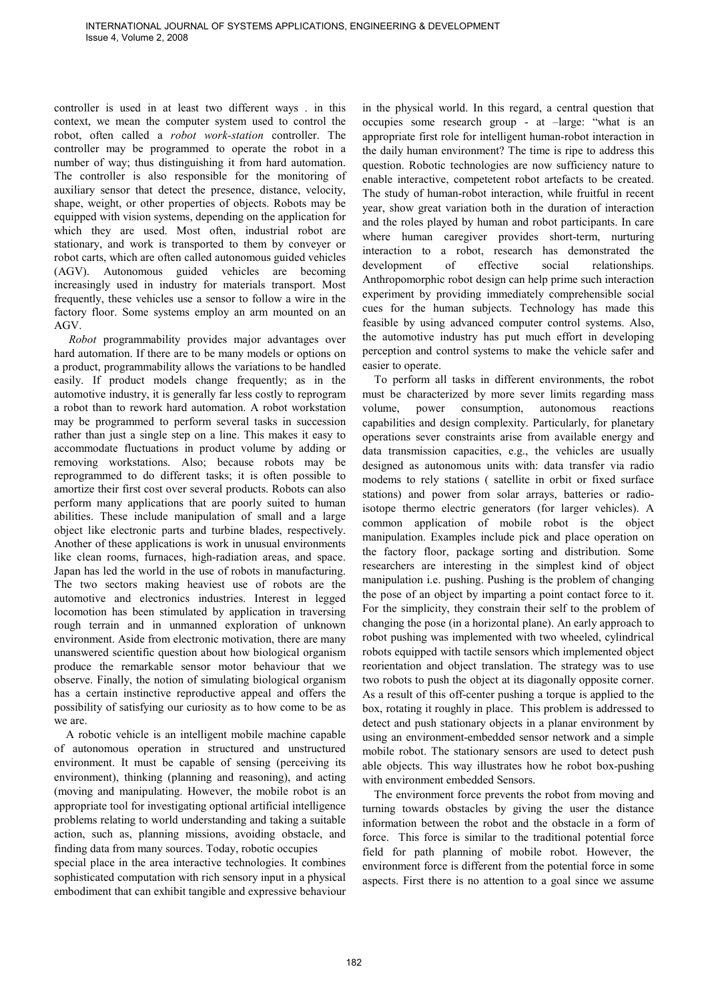controller is used in at least two different ways . in this context, we mean the computer system used to control the robot, often called a *robot work-station* controller. The controller may be programmed to operate the robot in a number of way; thus distinguishing it from hard automation. The controller is also responsible for the monitoring of auxiliary sensor that detect the presence, distance, velocity, shape, weight, or other properties of objects. Robots may be equipped with vision systems, depending on the application for which they are used. Most often, industrial robot are stationary, and work is transported to them by conveyer or robot carts, which are often called autonomous guided vehicles (AGV). Autonomous guided vehicles are becoming increasingly used in industry for materials transport. Most frequently, these vehicles use a sensor to follow a wire in the factory floor. Some systems employ an arm mounted on an AGV.

 *Robot* programmability provides major advantages over hard automation. If there are to be many models or options on a product, programmability allows the variations to be handled easily. If product models change frequently; as in the automotive industry, it is generally far less costly to reprogram a robot than to rework hard automation. A robot workstation may be programmed to perform several tasks in succession rather than just a single step on a line. This makes it easy to accommodate fluctuations in product volume by adding or removing workstations. Also; because robots may be reprogrammed to do different tasks; it is often possible to amortize their first cost over several products. Robots can also perform many applications that are poorly suited to human abilities. These include manipulation of small and a large object like electronic parts and turbine blades, respectively. Another of these applications is work in unusual environments like clean rooms, furnaces, high-radiation areas, and space. Japan has led the world in the use of robots in manufacturing. The two sectors making heaviest use of robots are the automotive and electronics industries. Interest in legged locomotion has been stimulated by application in traversing rough terrain and in unmanned exploration of unknown environment. Aside from electronic motivation, there are many unanswered scientific question about how biological organism produce the remarkable sensor motor behaviour that we observe. Finally, the notion of simulating biological organism has a certain instinctive reproductive appeal and offers the possibility of satisfying our curiosity as to how come to be as we are.

A robotic vehicle is an intelligent mobile machine capable of autonomous operation in structured and unstructured environment. It must be capable of sensing (perceiving its environment), thinking (planning and reasoning), and acting (moving and manipulating. However, the mobile robot is an appropriate tool for investigating optional artificial intelligence problems relating to world understanding and taking a suitable action, such as, planning missions, avoiding obstacle, and finding data from many sources. Today, robotic occupies

special place in the area interactive technologies. It combines sophisticated computation with rich sensory input in a physical embodiment that can exhibit tangible and expressive behaviour in the physical world. In this regard, a central question that occupies some research group - at –large: "what is an appropriate first role for intelligent human-robot interaction in the daily human environment? The time is ripe to address this question. Robotic technologies are now sufficiency nature to enable interactive, competetent robot artefacts to be created. The study of human-robot interaction, while fruitful in recent year, show great variation both in the duration of interaction and the roles played by human and robot participants. In care where human caregiver provides short-term, nurturing interaction to a robot, research has demonstrated the development of effective social relationships. Anthropomorphic robot design can help prime such interaction experiment by providing immediately comprehensible social cues for the human subjects. Technology has made this feasible by using advanced computer control systems. Also, the automotive industry has put much effort in developing perception and control systems to make the vehicle safer and easier to operate.

To perform all tasks in different environments, the robot must be characterized by more sever limits regarding mass volume, power consumption, autonomous reactions capabilities and design complexity. Particularly, for planetary operations sever constraints arise from available energy and data transmission capacities, e.g., the vehicles are usually designed as autonomous units with: data transfer via radio modems to rely stations ( satellite in orbit or fixed surface stations) and power from solar arrays, batteries or radioisotope thermo electric generators (for larger vehicles). A common application of mobile robot is the object manipulation. Examples include pick and place operation on the factory floor, package sorting and distribution. Some researchers are interesting in the simplest kind of object manipulation i.e. pushing. Pushing is the problem of changing the pose of an object by imparting a point contact force to it. For the simplicity, they constrain their self to the problem of changing the pose (in a horizontal plane). An early approach to robot pushing was implemented with two wheeled, cylindrical robots equipped with tactile sensors which implemented object reorientation and object translation. The strategy was to use two robots to push the object at its diagonally opposite corner. As a result of this off-center pushing a torque is applied to the box, rotating it roughly in place. This problem is addressed to detect and push stationary objects in a planar environment by using an environment-embedded sensor network and a simple mobile robot. The stationary sensors are used to detect push able objects. This way illustrates how he robot box-pushing with environment embedded Sensors.

The environment force prevents the robot from moving and turning towards obstacles by giving the user the distance information between the robot and the obstacle in a form of force. This force is similar to the traditional potential force field for path planning of mobile robot. However, the environment force is different from the potential force in some aspects. First there is no attention to a goal since we assume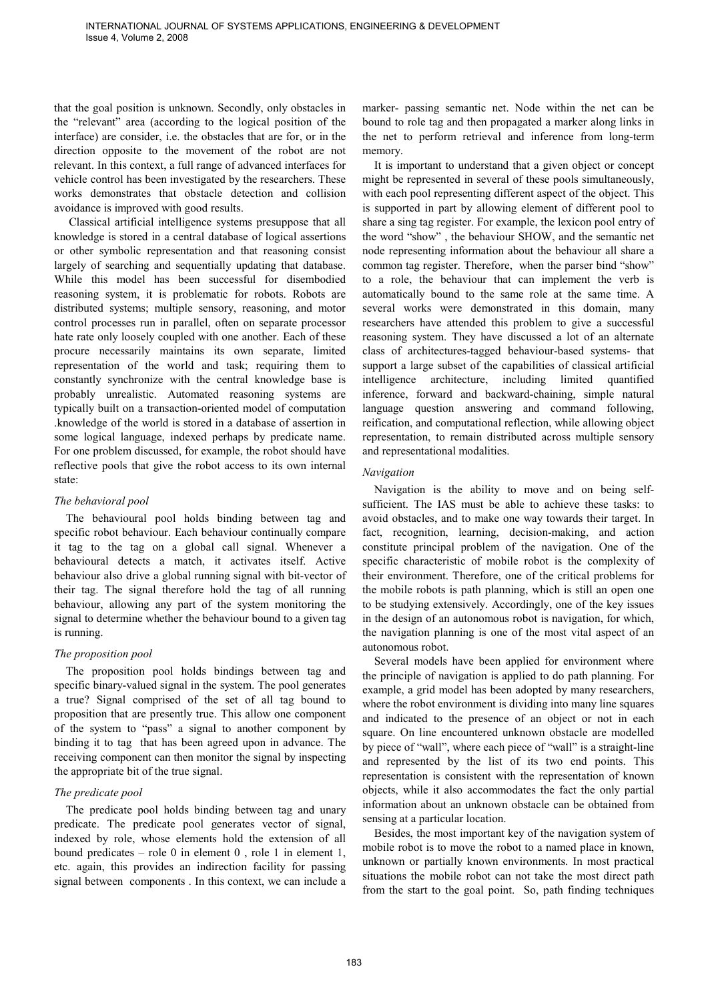that the goal position is unknown. Secondly, only obstacles in the "relevant" area (according to the logical position of the interface) are consider, i.e. the obstacles that are for, or in the direction opposite to the movement of the robot are not relevant. In this context, a full range of advanced interfaces for vehicle control has been investigated by the researchers. These works demonstrates that obstacle detection and collision avoidance is improved with good results.

 Classical artificial intelligence systems presuppose that all knowledge is stored in a central database of logical assertions or other symbolic representation and that reasoning consist largely of searching and sequentially updating that database. While this model has been successful for disembodied reasoning system, it is problematic for robots. Robots are distributed systems; multiple sensory, reasoning, and motor control processes run in parallel, often on separate processor hate rate only loosely coupled with one another. Each of these procure necessarily maintains its own separate, limited representation of the world and task; requiring them to constantly synchronize with the central knowledge base is probably unrealistic. Automated reasoning systems are typically built on a transaction-oriented model of computation .knowledge of the world is stored in a database of assertion in some logical language, indexed perhaps by predicate name. For one problem discussed, for example, the robot should have reflective pools that give the robot access to its own internal state:

### *The behavioral pool*

The behavioural pool holds binding between tag and specific robot behaviour. Each behaviour continually compare it tag to the tag on a global call signal. Whenever a behavioural detects a match, it activates itself. Active behaviour also drive a global running signal with bit-vector of their tag. The signal therefore hold the tag of all running behaviour, allowing any part of the system monitoring the signal to determine whether the behaviour bound to a given tag is running.

#### *The proposition pool*

The proposition pool holds bindings between tag and specific binary-valued signal in the system. The pool generates a true? Signal comprised of the set of all tag bound to proposition that are presently true. This allow one component of the system to "pass" a signal to another component by binding it to tag that has been agreed upon in advance. The receiving component can then monitor the signal by inspecting the appropriate bit of the true signal.

# *The predicate pool*

The predicate pool holds binding between tag and unary predicate. The predicate pool generates vector of signal, indexed by role, whose elements hold the extension of all bound predicates – role  $0$  in element  $0$ , role  $1$  in element  $1$ , etc. again, this provides an indirection facility for passing signal between components . In this context, we can include a marker- passing semantic net. Node within the net can be bound to role tag and then propagated a marker along links in the net to perform retrieval and inference from long-term memory.

It is important to understand that a given object or concept might be represented in several of these pools simultaneously, with each pool representing different aspect of the object. This is supported in part by allowing element of different pool to share a sing tag register. For example, the lexicon pool entry of the word "show" , the behaviour SHOW, and the semantic net node representing information about the behaviour all share a common tag register. Therefore, when the parser bind "show" to a role, the behaviour that can implement the verb is automatically bound to the same role at the same time. A several works were demonstrated in this domain, many researchers have attended this problem to give a successful reasoning system. They have discussed a lot of an alternate class of architectures-tagged behaviour-based systems- that support a large subset of the capabilities of classical artificial intelligence architecture, including limited quantified inference, forward and backward-chaining, simple natural language question answering and command following, reification, and computational reflection, while allowing object representation, to remain distributed across multiple sensory and representational modalities.

#### *Navigation*

Navigation is the ability to move and on being selfsufficient. The IAS must be able to achieve these tasks: to avoid obstacles, and to make one way towards their target. In fact, recognition, learning, decision-making, and action constitute principal problem of the navigation. One of the specific characteristic of mobile robot is the complexity of their environment. Therefore, one of the critical problems for the mobile robots is path planning, which is still an open one to be studying extensively. Accordingly, one of the key issues in the design of an autonomous robot is navigation, for which, the navigation planning is one of the most vital aspect of an autonomous robot.

Several models have been applied for environment where the principle of navigation is applied to do path planning. For example, a grid model has been adopted by many researchers, where the robot environment is dividing into many line squares and indicated to the presence of an object or not in each square. On line encountered unknown obstacle are modelled by piece of "wall", where each piece of "wall" is a straight-line and represented by the list of its two end points. This representation is consistent with the representation of known objects, while it also accommodates the fact the only partial information about an unknown obstacle can be obtained from sensing at a particular location.

Besides, the most important key of the navigation system of mobile robot is to move the robot to a named place in known, unknown or partially known environments. In most practical situations the mobile robot can not take the most direct path from the start to the goal point. So, path finding techniques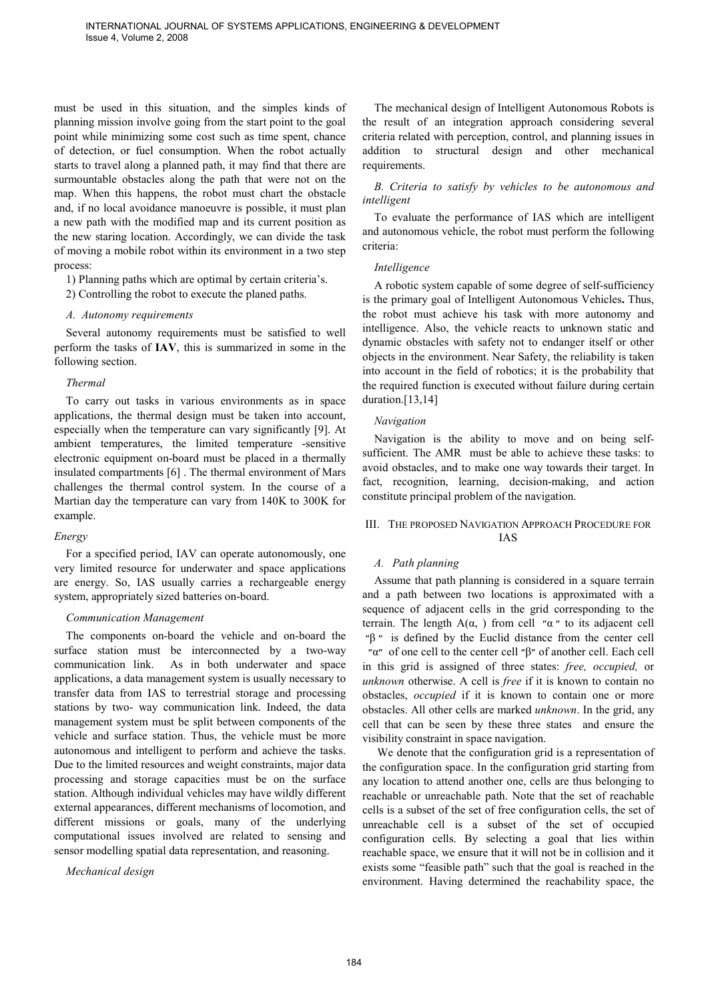must be used in this situation, and the simples kinds of planning mission involve going from the start point to the goal point while minimizing some cost such as time spent, chance of detection, or fuel consumption. When the robot actually starts to travel along a planned path, it may find that there are surmountable obstacles along the path that were not on the map. When this happens, the robot must chart the obstacle and, if no local avoidance manoeuvre is possible, it must plan a new path with the modified map and its current position as the new staring location. Accordingly, we can divide the task of moving a mobile robot within its environment in a two step process:

1) Planning paths which are optimal by certain criteria's.

2) Controlling the robot to execute the planed paths.

### *A. Autonomy requirements*

Several autonomy requirements must be satisfied to well perform the tasks of **IAV**, this is summarized in some in the following section.

### *Thermal*

To carry out tasks in various environments as in space applications, the thermal design must be taken into account, especially when the temperature can vary significantly [9]. At ambient temperatures, the limited temperature -sensitive electronic equipment on-board must be placed in a thermally insulated compartments [6] . The thermal environment of Mars challenges the thermal control system. In the course of a Martian day the temperature can vary from 140K to 300K for example.

# *Energy*

For a specified period, IAV can operate autonomously, one very limited resource for underwater and space applications are energy. So, IAS usually carries a rechargeable energy system, appropriately sized batteries on-board.

# *Communication Management*

The components on-board the vehicle and on-board the surface station must be interconnected by a two-way communication link. As in both underwater and space applications, a data management system is usually necessary to transfer data from IAS to terrestrial storage and processing stations by two- way communication link. Indeed, the data management system must be split between components of the vehicle and surface station. Thus, the vehicle must be more autonomous and intelligent to perform and achieve the tasks. Due to the limited resources and weight constraints, major data processing and storage capacities must be on the surface station. Although individual vehicles may have wildly different external appearances, different mechanisms of locomotion, and different missions or goals, many of the underlying computational issues involved are related to sensing and sensor modelling spatial data representation, and reasoning.

*Mechanical design* 

The mechanical design of Intelligent Autonomous Robots is the result of an integration approach considering several criteria related with perception, control, and planning issues in addition to structural design and other mechanical requirements.

# *B. Criteria to satisfy by vehicles to be autonomous and intelligent*

To evaluate the performance of IAS which are intelligent and autonomous vehicle, the robot must perform the following criteria:

### *Intelligence*

A robotic system capable of some degree of self-sufficiency is the primary goal of Intelligent Autonomous Vehicles**.** Thus, the robot must achieve his task with more autonomy and intelligence. Also, the vehicle reacts to unknown static and dynamic obstacles with safety not to endanger itself or other objects in the environment. Near Safety, the reliability is taken into account in the field of robotics; it is the probability that the required function is executed without failure during certain duration.[13,14]

# *Navigation*

Navigation is the ability to move and on being selfsufficient. The AMR must be able to achieve these tasks: to avoid obstacles, and to make one way towards their target. In fact, recognition, learning, decision-making, and action constitute principal problem of the navigation.

# III. THE PROPOSED NAVIGATION APPROACH PROCEDURE FOR IAS

# *A. Path planning*

Assume that path planning is considered in a square terrain and a path between two locations is approximated with a sequence of adjacent cells in the grid corresponding to the terrain. The length  $A(\alpha)$  from cell " $\alpha$ " to its adjacent cell  $"β"$  is defined by the Euclid distance from the center cell ״α״ of one cell to the center cell ״β״ of another cell. Each cell in this grid is assigned of three states: *free, occupied,* or *unknown* otherwise. A cell is *free* if it is known to contain no obstacles, *occupied* if it is known to contain one or more obstacles. All other cells are marked *unknown*. In the grid, any cell that can be seen by these three states and ensure the visibility constraint in space navigation.

 We denote that the configuration grid is a representation of the configuration space. In the configuration grid starting from any location to attend another one, cells are thus belonging to reachable or unreachable path. Note that the set of reachable cells is a subset of the set of free configuration cells, the set of unreachable cell is a subset of the set of occupied configuration cells. By selecting a goal that lies within reachable space, we ensure that it will not be in collision and it exists some "feasible path" such that the goal is reached in the environment. Having determined the reachability space, the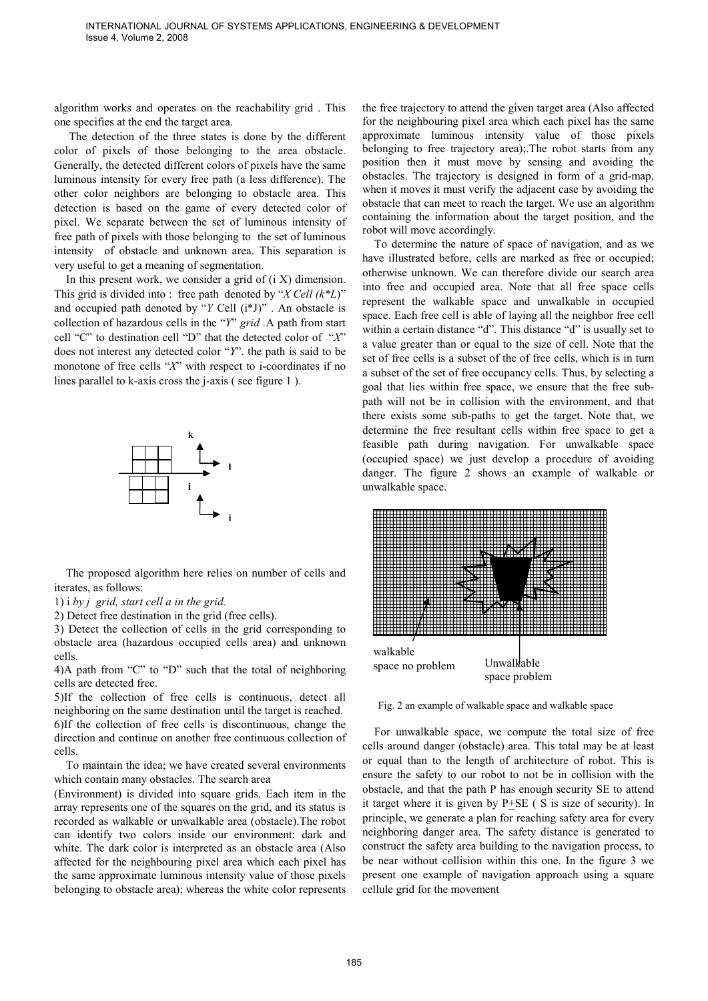algorithm works and operates on the reachability grid . This one specifies at the end the target area.

 The detection of the three states is done by the different color of pixels of those belonging to the area obstacle. Generally, the detected different colors of pixels have the same luminous intensity for every free path (a less difference). The other color neighbors are belonging to obstacle area. This detection is based on the game of every detected color of pixel. We separate between the set of luminous intensity of free path of pixels with those belonging to the set of luminous intensity of obstacle and unknown area. This separation is very useful to get a meaning of segmentation.

In this present work, we consider a grid of  $(i X)$  dimension. This grid is divided into : free path denoted by "*X Cell (k\*L*)" and occupied path denoted by "*Y* Cell (i\*J)" . An obstacle is collection of hazardous cells in the "*Y*" *grid .*A path from start cell "C" to destination cell "D" that the detected color of "*X*" does not interest any detected color "*Y*". the path is said to be monotone of free cells "*X*" with respect to i-coordinates if no lines parallel to k-axis cross the j-axis ( see figure 1 ).



The proposed algorithm here relies on number of cells and iterates, as follows:

1) i *by j grid, start cell a in the grid.* 

2) Detect free destination in the grid (free cells).

3) Detect the collection of cells in the grid corresponding to obstacle area (hazardous occupied cells area) and unknown cells.

4)A path from "C" to "D" such that the total of neighboring cells are detected free.

5)If the collection of free cells is continuous, detect all neighboring on the same destination until the target is reached. 6)If the collection of free cells is discontinuous, change the direction and continue on another free continuous collection of cells.

To maintain the idea; we have created several environments which contain many obstacles. The search area

(Environment) is divided into square grids. Each item in the array represents one of the squares on the grid, and its status is recorded as walkable or unwalkable area (obstacle).The robot can identify two colors inside our environment: dark and white. The dark color is interpreted as an obstacle area (Also affected for the neighbouring pixel area which each pixel has the same approximate luminous intensity value of those pixels belonging to obstacle area); whereas the white color represents the free trajectory to attend the given target area (Also affected for the neighbouring pixel area which each pixel has the same approximate luminous intensity value of those pixels belonging to free trajectory area);.The robot starts from any position then it must move by sensing and avoiding the obstacles. The trajectory is designed in form of a grid-map, when it moves it must verify the adjacent case by avoiding the obstacle that can meet to reach the target. We use an algorithm containing the information about the target position, and the robot will move accordingly.

To determine the nature of space of navigation, and as we have illustrated before, cells are marked as free or occupied; otherwise unknown. We can therefore divide our search area into free and occupied area. Note that all free space cells represent the walkable space and unwalkable in occupied space. Each free cell is able of laying all the neighbor free cell within a certain distance "d". This distance "d" is usually set to a value greater than or equal to the size of cell. Note that the set of free cells is a subset of the of free cells, which is in turn a subset of the set of free occupancy cells. Thus, by selecting a goal that lies within free space, we ensure that the free subpath will not be in collision with the environment, and that there exists some sub-paths to get the target. Note that, we determine the free resultant cells within free space to get a feasible path during navigation. For unwalkable space (occupied space) we just develop a procedure of avoiding danger. The figure 2 shows an example of walkable or unwalkable space.



Fig. 2 an example of walkable space and walkable space

For unwalkable space, we compute the total size of free cells around danger (obstacle) area. This total may be at least or equal than to the length of architecture of robot. This is ensure the safety to our robot to not be in collision with the obstacle, and that the path P has enough security SE to attend it target where it is given by P+SE ( S is size of security). In principle, we generate a plan for reaching safety area for every neighboring danger area. The safety distance is generated to construct the safety area building to the navigation process, to be near without collision within this one. In the figure 3 we present one example of navigation approach using a square cellule grid for the movement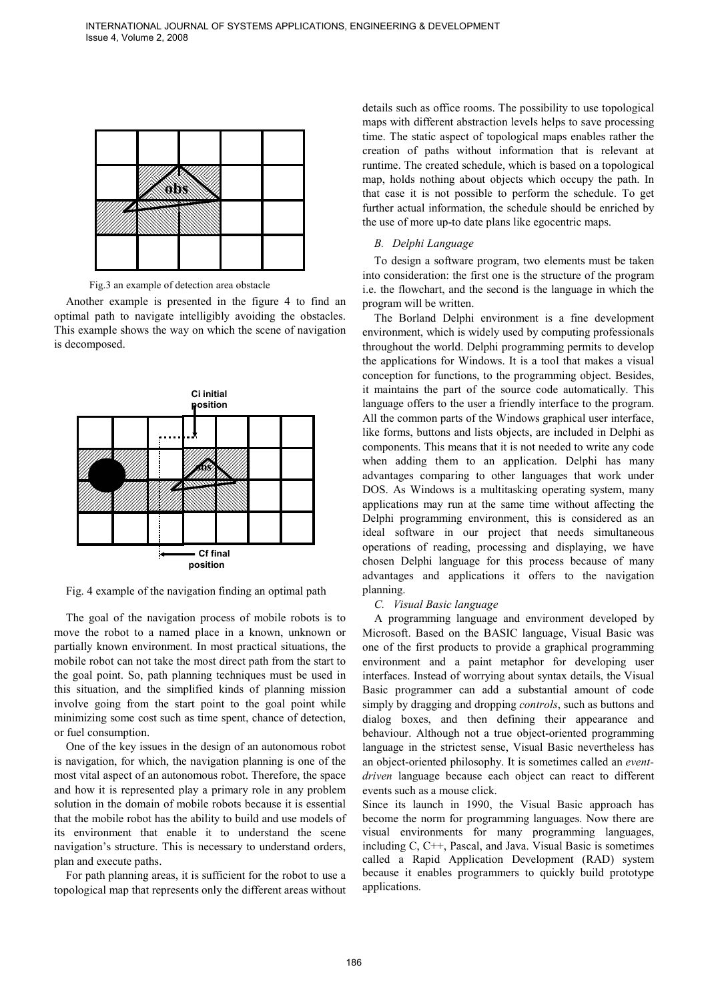

Fig.3 an example of detection area obstacle

Another example is presented in the figure 4 to find an optimal path to navigate intelligibly avoiding the obstacles. This example shows the way on which the scene of navigation is decomposed.



Fig. 4 example of the navigation finding an optimal path

The goal of the navigation process of mobile robots is to move the robot to a named place in a known, unknown or partially known environment. In most practical situations, the mobile robot can not take the most direct path from the start to the goal point. So, path planning techniques must be used in this situation, and the simplified kinds of planning mission involve going from the start point to the goal point while minimizing some cost such as time spent, chance of detection, or fuel consumption.

One of the key issues in the design of an autonomous robot is navigation, for which, the navigation planning is one of the most vital aspect of an autonomous robot. Therefore, the space and how it is represented play a primary role in any problem solution in the domain of mobile robots because it is essential that the mobile robot has the ability to build and use models of its environment that enable it to understand the scene navigation's structure. This is necessary to understand orders, plan and execute paths.

For path planning areas, it is sufficient for the robot to use a topological map that represents only the different areas without details such as office rooms. The possibility to use topological maps with different abstraction levels helps to save processing time. The static aspect of topological maps enables rather the creation of paths without information that is relevant at runtime. The created schedule, which is based on a topological map, holds nothing about objects which occupy the path. In that case it is not possible to perform the schedule. To get further actual information, the schedule should be enriched by the use of more up-to date plans like egocentric maps.

### *B. Delphi Language*

To design a software program, two elements must be taken into consideration: the first one is the structure of the program i.e. the flowchart, and the second is the language in which the program will be written.

The Borland Delphi environment is a fine development environment, which is widely used by computing professionals throughout the world. Delphi programming permits to develop the applications for Windows. It is a tool that makes a visual conception for functions, to the programming object. Besides, it maintains the part of the source code automatically. This language offers to the user a friendly interface to the program. All the common parts of the Windows graphical user interface, like forms, buttons and lists objects, are included in Delphi as components. This means that it is not needed to write any code when adding them to an application. Delphi has many advantages comparing to other languages that work under DOS. As Windows is a multitasking operating system, many applications may run at the same time without affecting the Delphi programming environment, this is considered as an ideal software in our project that needs simultaneous operations of reading, processing and displaying, we have chosen Delphi language for this process because of many advantages and applications it offers to the navigation planning.

*C. Visual Basic language* 

A programming language and environment developed by Microsoft. Based on the BASIC language, Visual Basic was one of the first products to provide a graphical programming environment and a paint metaphor for developing user interfaces. Instead of worrying about syntax details, the Visual Basic programmer can add a substantial amount of code simply by dragging and dropping *controls*, such as buttons and dialog boxes, and then defining their appearance and behaviour. Although not a true object-oriented programming language in the strictest sense, Visual Basic nevertheless has an object-oriented philosophy. It is sometimes called an *eventdriven* language because each object can react to different events such as a mouse click.

Since its launch in 1990, the Visual Basic approach has become the norm for programming languages. Now there are visual environments for many programming languages, including C, C++, Pascal, and Java. Visual Basic is sometimes called a Rapid Application Development (RAD) system because it enables programmers to quickly build prototype applications.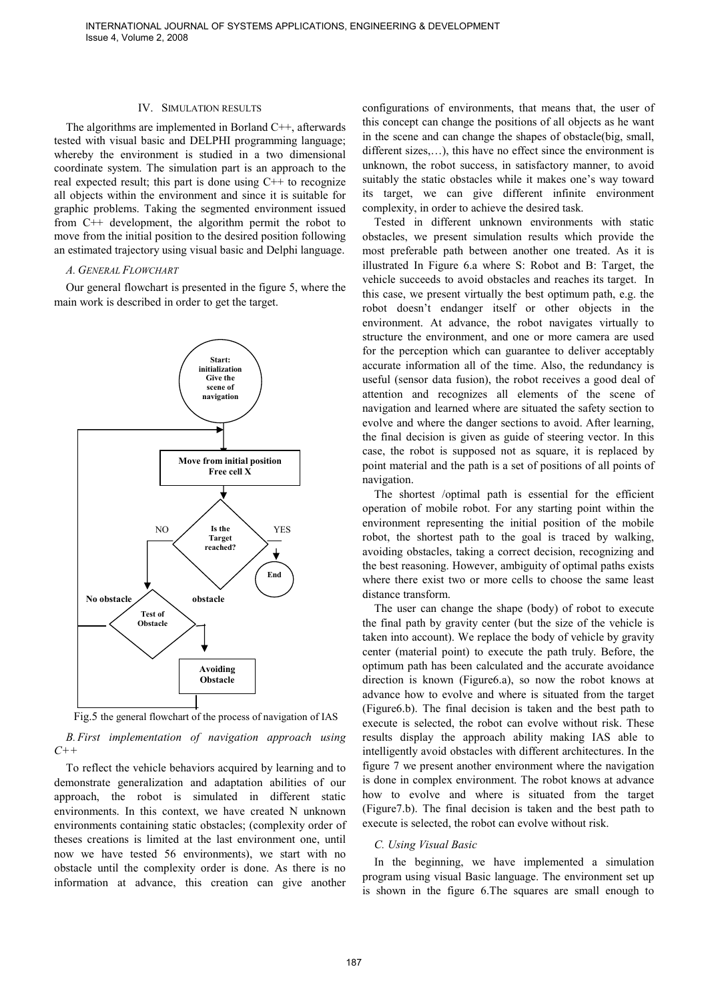#### IV. SIMULATION RESULTS

The algorithms are implemented in Borland C++, afterwards tested with visual basic and DELPHI programming language; whereby the environment is studied in a two dimensional coordinate system. The simulation part is an approach to the real expected result; this part is done using  $C++$  to recognize all objects within the environment and since it is suitable for graphic problems. Taking the segmented environment issued from C++ development, the algorithm permit the robot to move from the initial position to the desired position following an estimated trajectory using visual basic and Delphi language.

#### *A. GENERAL FLOWCHART*

Our general flowchart is presented in the figure 5, where the main work is described in order to get the target.



Fig.5 the general flowchart of the process of navigation of IAS

*B.First implementation of navigation approach using C++* 

To reflect the vehicle behaviors acquired by learning and to demonstrate generalization and adaptation abilities of our approach, the robot is simulated in different static environments. In this context, we have created N unknown environments containing static obstacles; (complexity order of theses creations is limited at the last environment one, until now we have tested 56 environments), we start with no obstacle until the complexity order is done. As there is no information at advance, this creation can give another

configurations of environments, that means that, the user of this concept can change the positions of all objects as he want in the scene and can change the shapes of obstacle(big, small, different sizes,…), this have no effect since the environment is unknown, the robot success, in satisfactory manner, to avoid suitably the static obstacles while it makes one's way toward its target, we can give different infinite environment complexity, in order to achieve the desired task.

Tested in different unknown environments with static obstacles, we present simulation results which provide the most preferable path between another one treated. As it is illustrated In Figure 6.a where S: Robot and B: Target, the vehicle succeeds to avoid obstacles and reaches its target. In this case, we present virtually the best optimum path, e.g. the robot doesn't endanger itself or other objects in the environment. At advance, the robot navigates virtually to structure the environment, and one or more camera are used for the perception which can guarantee to deliver acceptably accurate information all of the time. Also, the redundancy is useful (sensor data fusion), the robot receives a good deal of attention and recognizes all elements of the scene of navigation and learned where are situated the safety section to evolve and where the danger sections to avoid. After learning, the final decision is given as guide of steering vector. In this case, the robot is supposed not as square, it is replaced by point material and the path is a set of positions of all points of navigation.

The shortest /optimal path is essential for the efficient operation of mobile robot. For any starting point within the environment representing the initial position of the mobile robot, the shortest path to the goal is traced by walking, avoiding obstacles, taking a correct decision, recognizing and the best reasoning. However, ambiguity of optimal paths exists where there exist two or more cells to choose the same least distance transform.

The user can change the shape (body) of robot to execute the final path by gravity center (but the size of the vehicle is taken into account). We replace the body of vehicle by gravity center (material point) to execute the path truly. Before, the optimum path has been calculated and the accurate avoidance direction is known (Figure6.a), so now the robot knows at advance how to evolve and where is situated from the target (Figure6.b). The final decision is taken and the best path to execute is selected, the robot can evolve without risk. These results display the approach ability making IAS able to intelligently avoid obstacles with different architectures. In the figure 7 we present another environment where the navigation is done in complex environment. The robot knows at advance how to evolve and where is situated from the target (Figure7.b). The final decision is taken and the best path to execute is selected, the robot can evolve without risk.

#### *C. Using Visual Basic*

In the beginning, we have implemented a simulation program using visual Basic language. The environment set up is shown in the figure 6.The squares are small enough to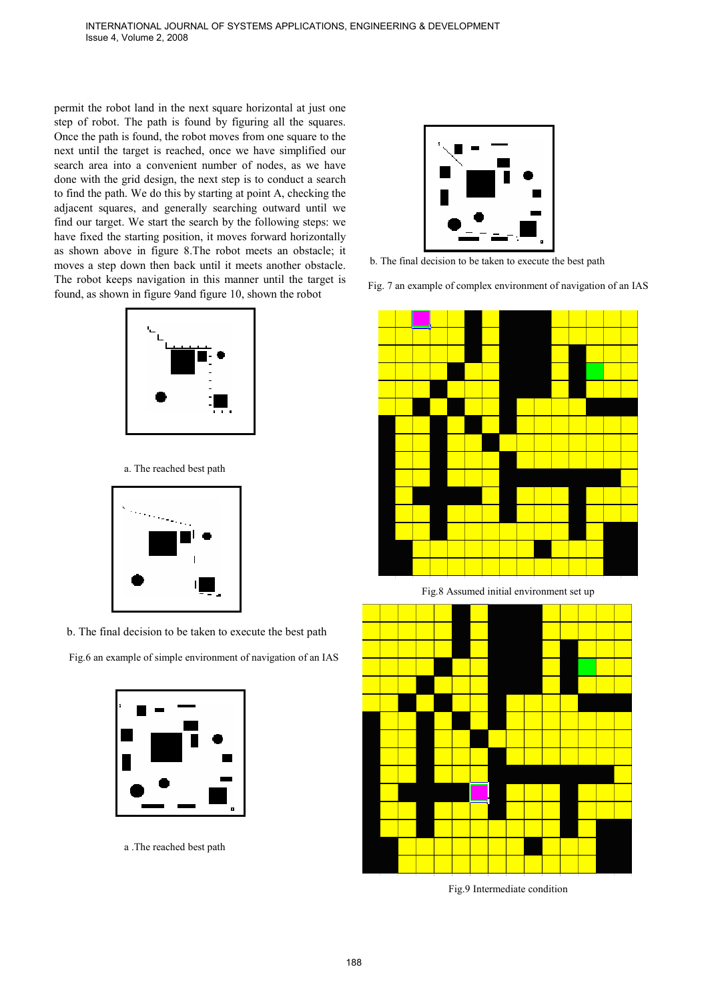permit the robot land in the next square horizontal at just one step of robot. The path is found by figuring all the squares. Once the path is found, the robot moves from one square to the next until the target is reached, once we have simplified our search area into a convenient number of nodes, as we have done with the grid design, the next step is to conduct a search to find the path. We do this by starting at point A, checking the adjacent squares, and generally searching outward until we find our target. We start the search by the following steps: we have fixed the starting position, it moves forward horizontally as shown above in figure 8.The robot meets an obstacle; it moves a step down then back until it meets another obstacle. The robot keeps navigation in this manner until the target is found, as shown in figure 9and figure 10, shown the robot



a. The reached best path



b. The final decision to be taken to execute the best path

Fig.6 an example of simple environment of navigation of an IAS



a .The reached best path



b. The final decision to be taken to execute the best path

Fig. 7 an example of complex environment of navigation of an IAS



Fig.8 Assumed initial environment set up



Fig.9 Intermediate condition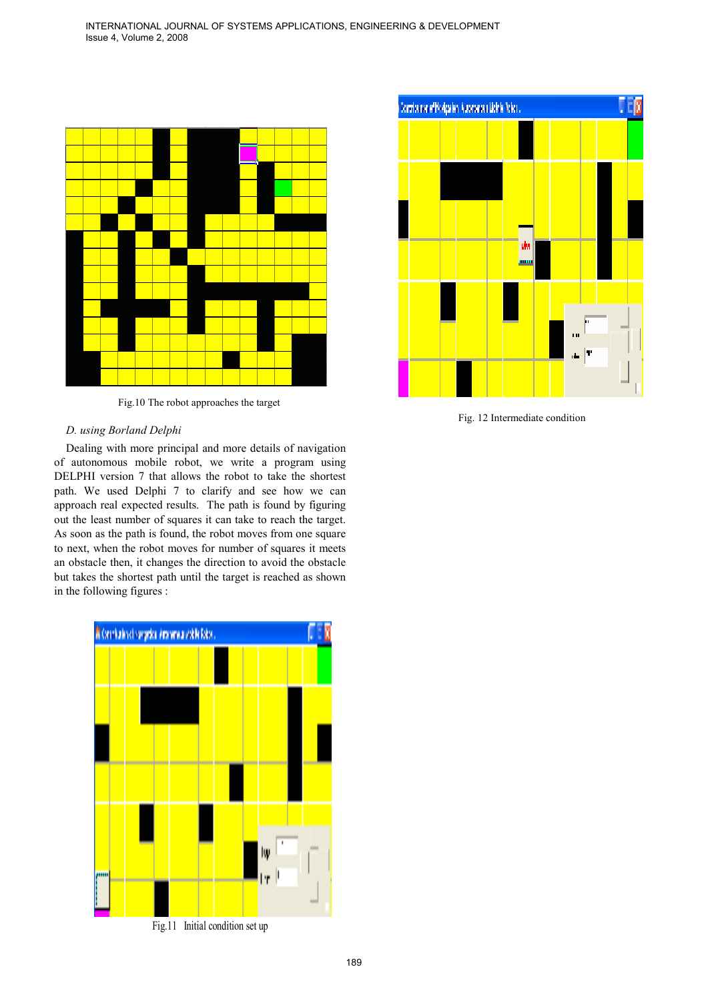

Fig.10 The robot approaches the target

#### *D. using Borland Delphi*

Dealing with more principal and more details of navigation of autonomous mobile robot, we write a program using DELPHI version 7 that allows the robot to take the shortest path. We used Delphi 7 to clarify and see how we can approach real expected results. The path is found by figuring out the least number of squares it can take to reach the target. As soon as the path is found, the robot moves from one square to next, when the robot moves for number of squares it meets an obstacle then, it changes the direction to avoid the obstacle but takes the shortest path until the target is reached as shown in the following figures :





Fig. 12 Intermediate condition